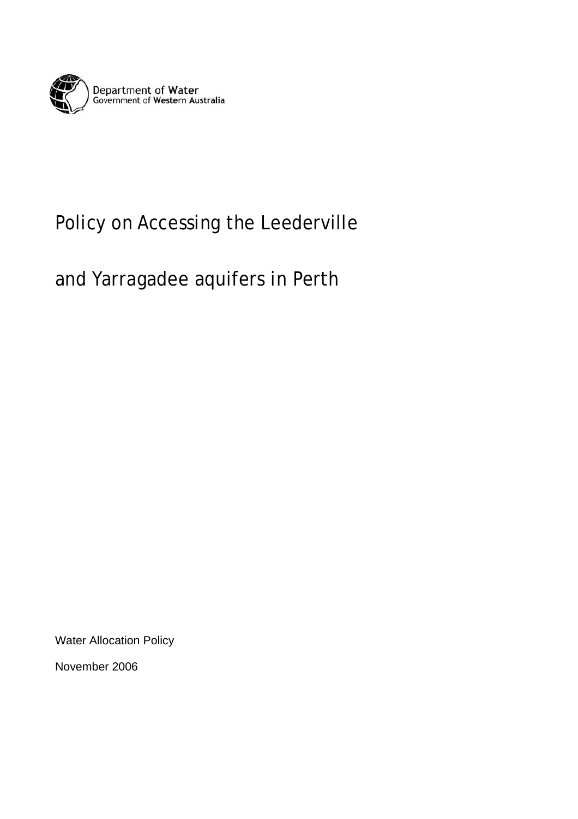

# Policy on Accessing the Leederville

# and Yarragadee aquifers in Perth

Water Allocation Policy

November 2006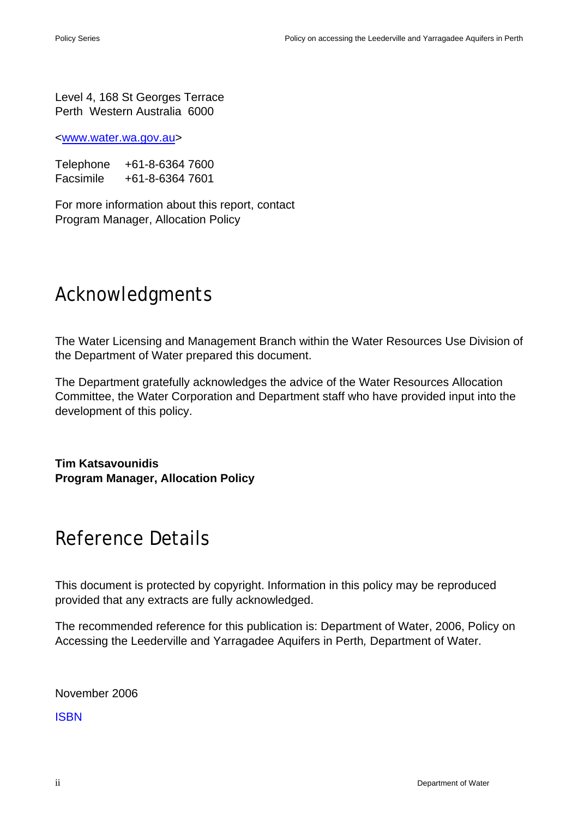Level 4, 168 St Georges Terrace Perth Western Australia 6000

<www.water.wa.gov.au>

Telephone +61-8-6364 7600 Facsimile +61-8-6364 7601

For more information about this report, contact Program Manager, Allocation Policy

# Acknowledgments

The Water Licensing and Management Branch within the Water Resources Use Division of the Department of Water prepared this document.

The Department gratefully acknowledges the advice of the Water Resources Allocation Committee, the Water Corporation and Department staff who have provided input into the development of this policy.

**Tim Katsavounidis Program Manager, Allocation Policy** 

# Reference Details

This document is protected by copyright. Information in this policy may be reproduced provided that any extracts are fully acknowledged.

The recommended reference for this publication is: Department of Water, 2006, Policy on Accessing the Leederville and Yarragadee Aquifers in Perth*,* Department of Water.

November 2006

ISBN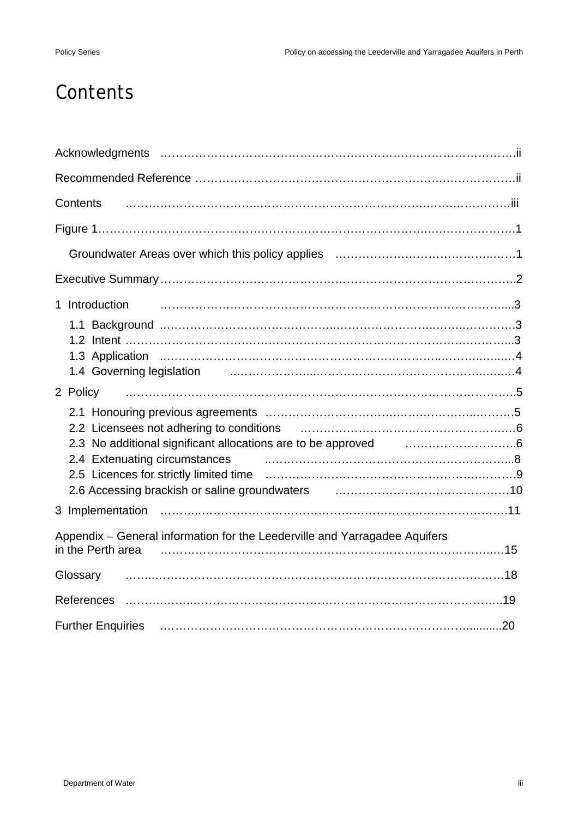# **Contents**

| <b>Contents</b>                                                                                                                                                   |  |
|-------------------------------------------------------------------------------------------------------------------------------------------------------------------|--|
|                                                                                                                                                                   |  |
|                                                                                                                                                                   |  |
|                                                                                                                                                                   |  |
| 1 Introduction                                                                                                                                                    |  |
| 1.4 Governing legislation <b>container and the control of the Coverning</b> degrading and container and the Coverning                                             |  |
|                                                                                                                                                                   |  |
| 2.3 No additional significant allocations are to be approved <b>2.3 No additional significant allocations</b> are to be approved<br>2.4 Extenuating circumstances |  |
|                                                                                                                                                                   |  |
| Appendix - General information for the Leederville and Yarragadee Aquifers<br>in the Perth area                                                                   |  |
| Glossary                                                                                                                                                          |  |
|                                                                                                                                                                   |  |
|                                                                                                                                                                   |  |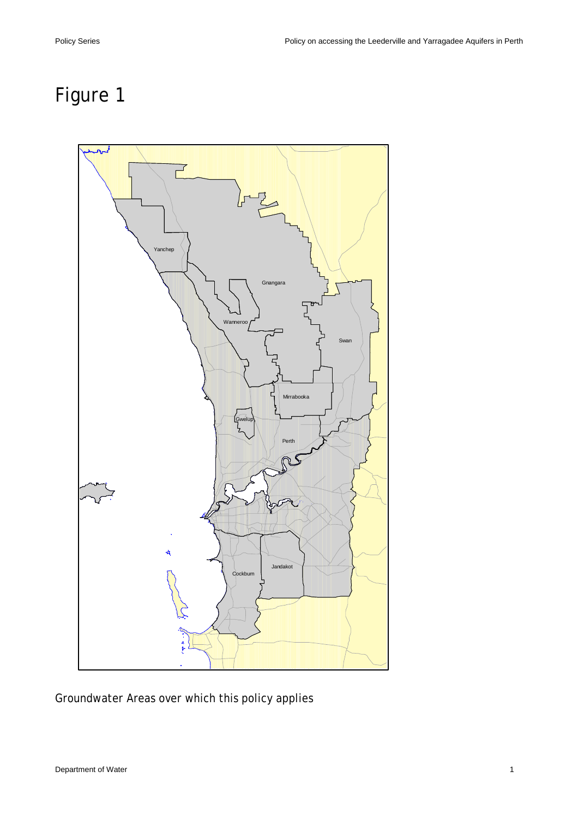# Figure 1



Groundwater Areas over which this policy applies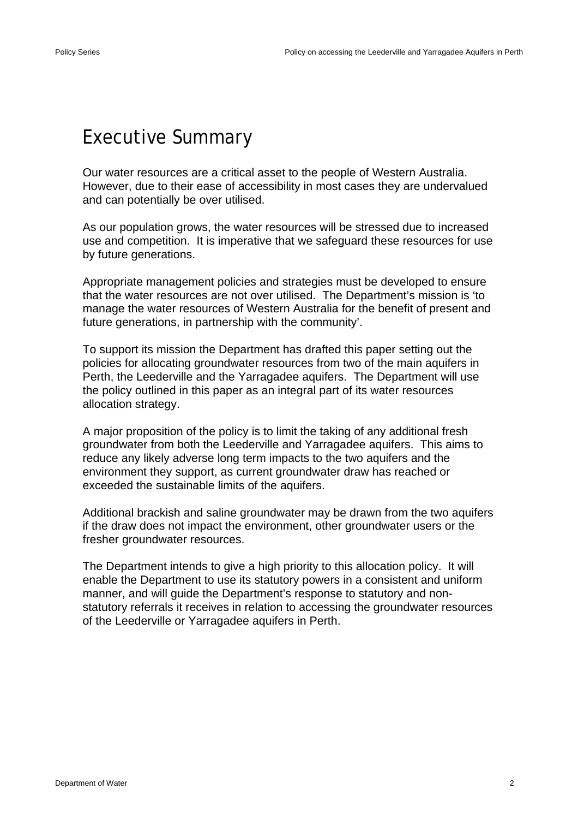## Executive Summary

Our water resources are a critical asset to the people of Western Australia. However, due to their ease of accessibility in most cases they are undervalued and can potentially be over utilised.

As our population grows, the water resources will be stressed due to increased use and competition. It is imperative that we safeguard these resources for use by future generations.

Appropriate management policies and strategies must be developed to ensure that the water resources are not over utilised. The Department's mission is 'to manage the water resources of Western Australia for the benefit of present and future generations, in partnership with the community'.

To support its mission the Department has drafted this paper setting out the policies for allocating groundwater resources from two of the main aquifers in Perth, the Leederville and the Yarragadee aquifers. The Department will use the policy outlined in this paper as an integral part of its water resources allocation strategy.

A major proposition of the policy is to limit the taking of any additional fresh groundwater from both the Leederville and Yarragadee aquifers. This aims to reduce any likely adverse long term impacts to the two aquifers and the environment they support, as current groundwater draw has reached or exceeded the sustainable limits of the aquifers.

Additional brackish and saline groundwater may be drawn from the two aquifers if the draw does not impact the environment, other groundwater users or the fresher groundwater resources.

The Department intends to give a high priority to this allocation policy. It will enable the Department to use its statutory powers in a consistent and uniform manner, and will guide the Department's response to statutory and nonstatutory referrals it receives in relation to accessing the groundwater resources of the Leederville or Yarragadee aquifers in Perth.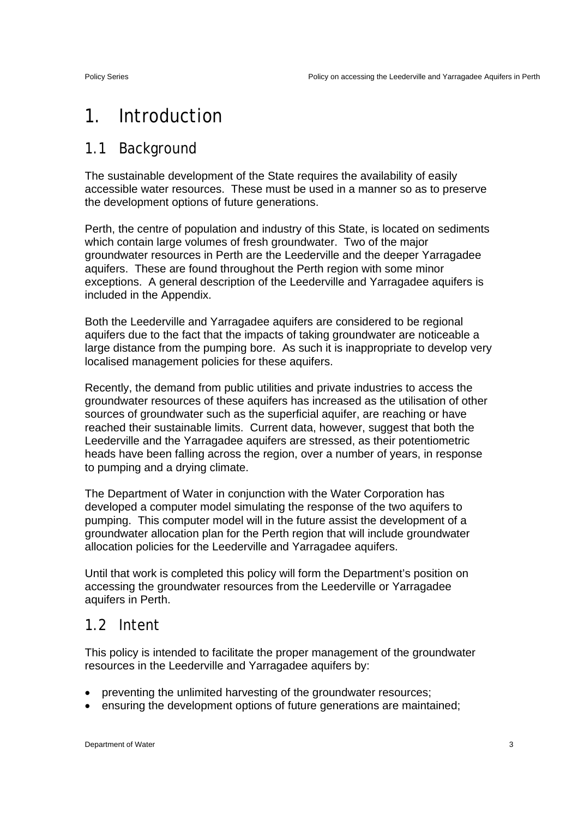# 1. Introduction

#### 1.1 Background

The sustainable development of the State requires the availability of easily accessible water resources. These must be used in a manner so as to preserve the development options of future generations.

Perth, the centre of population and industry of this State, is located on sediments which contain large volumes of fresh groundwater. Two of the major groundwater resources in Perth are the Leederville and the deeper Yarragadee aquifers. These are found throughout the Perth region with some minor exceptions. A general description of the Leederville and Yarragadee aquifers is included in the Appendix.

Both the Leederville and Yarragadee aquifers are considered to be regional aquifers due to the fact that the impacts of taking groundwater are noticeable a large distance from the pumping bore. As such it is inappropriate to develop very localised management policies for these aquifers.

Recently, the demand from public utilities and private industries to access the groundwater resources of these aquifers has increased as the utilisation of other sources of groundwater such as the superficial aquifer, are reaching or have reached their sustainable limits. Current data, however, suggest that both the Leederville and the Yarragadee aquifers are stressed, as their potentiometric heads have been falling across the region, over a number of years, in response to pumping and a drying climate.

The Department of Water in conjunction with the Water Corporation has developed a computer model simulating the response of the two aquifers to pumping. This computer model will in the future assist the development of a groundwater allocation plan for the Perth region that will include groundwater allocation policies for the Leederville and Yarragadee aquifers.

Until that work is completed this policy will form the Department's position on accessing the groundwater resources from the Leederville or Yarragadee aquifers in Perth.

#### 1.2 Intent

This policy is intended to facilitate the proper management of the groundwater resources in the Leederville and Yarragadee aquifers by:

- preventing the unlimited harvesting of the groundwater resources;
- ensuring the development options of future generations are maintained;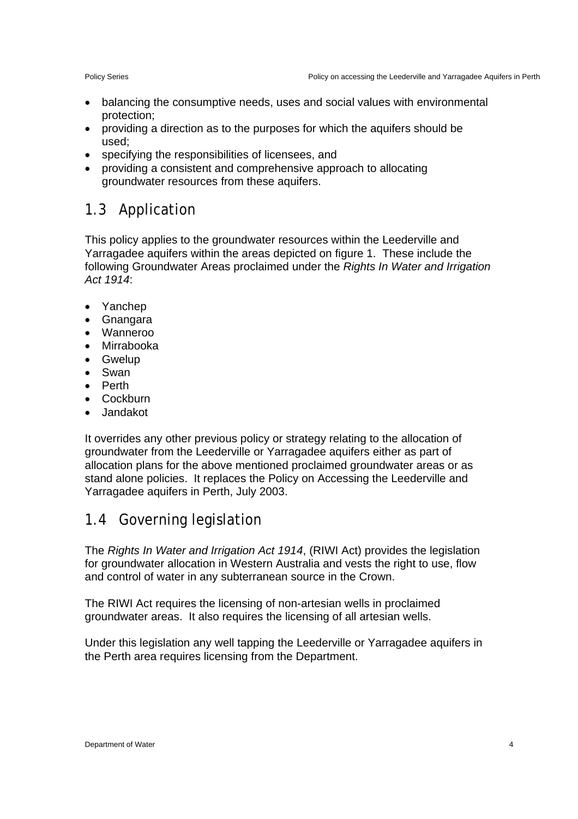- balancing the consumptive needs, uses and social values with environmental protection;
- providing a direction as to the purposes for which the aquifers should be used;
- specifying the responsibilities of licensees, and
- providing a consistent and comprehensive approach to allocating groundwater resources from these aquifers.

### 1.3 Application

This policy applies to the groundwater resources within the Leederville and Yarragadee aquifers within the areas depicted on figure 1. These include the following Groundwater Areas proclaimed under the *Rights In Water and Irrigation Act 1914*:

- Yanchep
- Gnangara
- Wanneroo
- Mirrabooka
- Gwelup
- Swan
- Perth
- Cockburn
- Jandakot

It overrides any other previous policy or strategy relating to the allocation of groundwater from the Leederville or Yarragadee aquifers either as part of allocation plans for the above mentioned proclaimed groundwater areas or as stand alone policies. It replaces the Policy on Accessing the Leederville and Yarragadee aquifers in Perth, July 2003.

### 1.4 Governing legislation

The *Rights In Water and Irrigation Act 1914*, (RIWI Act) provides the legislation for groundwater allocation in Western Australia and vests the right to use, flow and control of water in any subterranean source in the Crown.

The RIWI Act requires the licensing of non-artesian wells in proclaimed groundwater areas. It also requires the licensing of all artesian wells.

Under this legislation any well tapping the Leederville or Yarragadee aquifers in the Perth area requires licensing from the Department.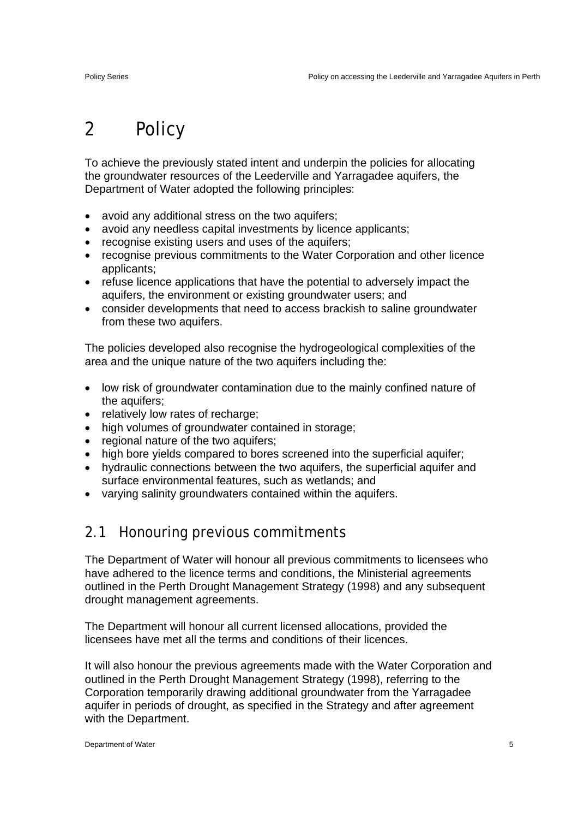# 2 Policy

To achieve the previously stated intent and underpin the policies for allocating the groundwater resources of the Leederville and Yarragadee aquifers, the Department of Water adopted the following principles:

- avoid any additional stress on the two aquifers;
- avoid any needless capital investments by licence applicants;
- recognise existing users and uses of the aquifers:
- recognise previous commitments to the Water Corporation and other licence applicants;
- refuse licence applications that have the potential to adversely impact the aquifers, the environment or existing groundwater users; and
- consider developments that need to access brackish to saline groundwater from these two aquifers.

The policies developed also recognise the hydrogeological complexities of the area and the unique nature of the two aquifers including the:

- low risk of groundwater contamination due to the mainly confined nature of the aquifers;
- relatively low rates of recharge;
- high volumes of groundwater contained in storage;
- regional nature of the two aquifers;
- high bore yields compared to bores screened into the superficial aquifer;
- hydraulic connections between the two aquifers, the superficial aquifer and surface environmental features, such as wetlands; and
- varying salinity groundwaters contained within the aquifers.

#### 2.1 Honouring previous commitments

The Department of Water will honour all previous commitments to licensees who have adhered to the licence terms and conditions, the Ministerial agreements outlined in the Perth Drought Management Strategy (1998) and any subsequent drought management agreements.

The Department will honour all current licensed allocations, provided the licensees have met all the terms and conditions of their licences.

It will also honour the previous agreements made with the Water Corporation and outlined in the Perth Drought Management Strategy (1998), referring to the Corporation temporarily drawing additional groundwater from the Yarragadee aquifer in periods of drought, as specified in the Strategy and after agreement with the Department.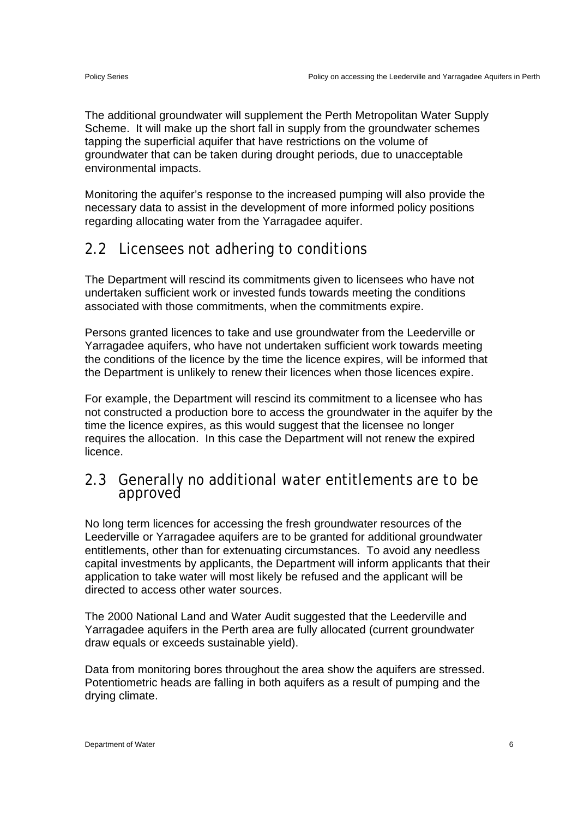The additional groundwater will supplement the Perth Metropolitan Water Supply Scheme. It will make up the short fall in supply from the groundwater schemes tapping the superficial aquifer that have restrictions on the volume of groundwater that can be taken during drought periods, due to unacceptable environmental impacts.

Monitoring the aquifer's response to the increased pumping will also provide the necessary data to assist in the development of more informed policy positions regarding allocating water from the Yarragadee aquifer.

### 2.2 Licensees not adhering to conditions

The Department will rescind its commitments given to licensees who have not undertaken sufficient work or invested funds towards meeting the conditions associated with those commitments, when the commitments expire.

Persons granted licences to take and use groundwater from the Leederville or Yarragadee aquifers, who have not undertaken sufficient work towards meeting the conditions of the licence by the time the licence expires, will be informed that the Department is unlikely to renew their licences when those licences expire.

For example, the Department will rescind its commitment to a licensee who has not constructed a production bore to access the groundwater in the aquifer by the time the licence expires, as this would suggest that the licensee no longer requires the allocation. In this case the Department will not renew the expired licence.

#### 2.3 Generally no additional water entitlements are to be approved

No long term licences for accessing the fresh groundwater resources of the Leederville or Yarragadee aquifers are to be granted for additional groundwater entitlements, other than for extenuating circumstances. To avoid any needless capital investments by applicants, the Department will inform applicants that their application to take water will most likely be refused and the applicant will be directed to access other water sources.

The 2000 National Land and Water Audit suggested that the Leederville and Yarragadee aquifers in the Perth area are fully allocated (current groundwater draw equals or exceeds sustainable yield).

Data from monitoring bores throughout the area show the aquifers are stressed. Potentiometric heads are falling in both aquifers as a result of pumping and the drying climate.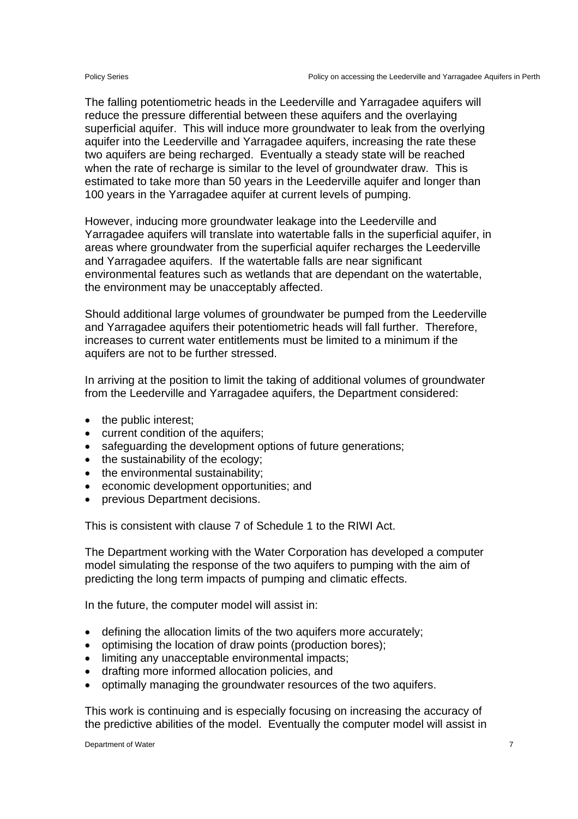The falling potentiometric heads in the Leederville and Yarragadee aquifers will reduce the pressure differential between these aquifers and the overlaying superficial aquifer. This will induce more groundwater to leak from the overlying aquifer into the Leederville and Yarragadee aquifers, increasing the rate these two aquifers are being recharged. Eventually a steady state will be reached when the rate of recharge is similar to the level of groundwater draw. This is estimated to take more than 50 years in the Leederville aquifer and longer than 100 years in the Yarragadee aquifer at current levels of pumping.

However, inducing more groundwater leakage into the Leederville and Yarragadee aquifers will translate into watertable falls in the superficial aquifer, in areas where groundwater from the superficial aquifer recharges the Leederville and Yarragadee aquifers. If the watertable falls are near significant environmental features such as wetlands that are dependant on the watertable, the environment may be unacceptably affected.

Should additional large volumes of groundwater be pumped from the Leederville and Yarragadee aquifers their potentiometric heads will fall further. Therefore, increases to current water entitlements must be limited to a minimum if the aquifers are not to be further stressed.

In arriving at the position to limit the taking of additional volumes of groundwater from the Leederville and Yarragadee aquifers, the Department considered:

- the public interest;
- current condition of the aquifers;
- safeguarding the development options of future generations;
- the sustainability of the ecology;
- the environmental sustainability;
- economic development opportunities; and
- previous Department decisions.

This is consistent with clause 7 of Schedule 1 to the RIWI Act.

The Department working with the Water Corporation has developed a computer model simulating the response of the two aquifers to pumping with the aim of predicting the long term impacts of pumping and climatic effects.

In the future, the computer model will assist in:

- defining the allocation limits of the two aquifers more accurately;
- optimising the location of draw points (production bores);
- limiting any unacceptable environmental impacts;
- drafting more informed allocation policies, and
- optimally managing the groundwater resources of the two aquifers.

This work is continuing and is especially focusing on increasing the accuracy of the predictive abilities of the model. Eventually the computer model will assist in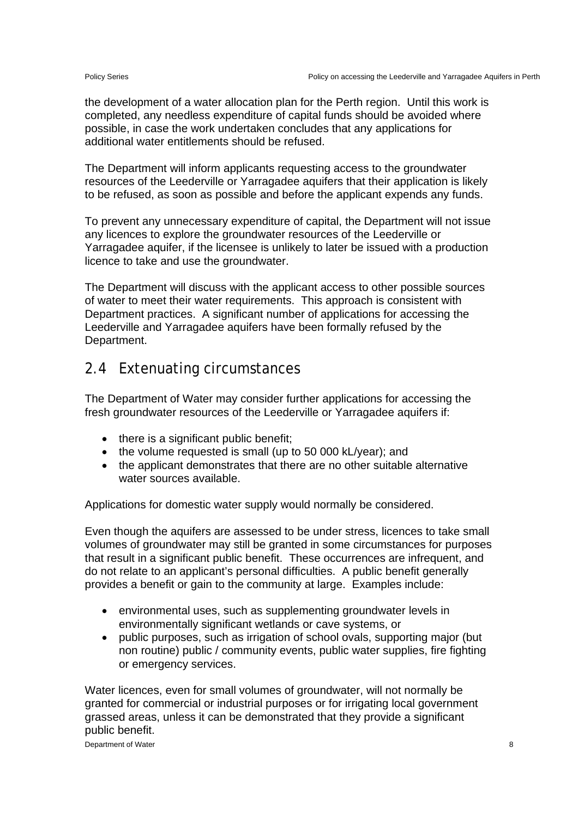the development of a water allocation plan for the Perth region. Until this work is completed, any needless expenditure of capital funds should be avoided where possible, in case the work undertaken concludes that any applications for additional water entitlements should be refused.

The Department will inform applicants requesting access to the groundwater resources of the Leederville or Yarragadee aquifers that their application is likely to be refused, as soon as possible and before the applicant expends any funds.

To prevent any unnecessary expenditure of capital, the Department will not issue any licences to explore the groundwater resources of the Leederville or Yarragadee aquifer, if the licensee is unlikely to later be issued with a production licence to take and use the groundwater.

The Department will discuss with the applicant access to other possible sources of water to meet their water requirements. This approach is consistent with Department practices. A significant number of applications for accessing the Leederville and Yarragadee aquifers have been formally refused by the Department.

#### 2.4 Extenuating circumstances

The Department of Water may consider further applications for accessing the fresh groundwater resources of the Leederville or Yarragadee aquifers if:

- there is a significant public benefit;
- the volume requested is small (up to 50 000 kL/year); and
- the applicant demonstrates that there are no other suitable alternative water sources available

Applications for domestic water supply would normally be considered.

Even though the aquifers are assessed to be under stress, licences to take small volumes of groundwater may still be granted in some circumstances for purposes that result in a significant public benefit. These occurrences are infrequent, and do not relate to an applicant's personal difficulties. A public benefit generally provides a benefit or gain to the community at large. Examples include:

- environmental uses, such as supplementing groundwater levels in environmentally significant wetlands or cave systems, or
- public purposes, such as irrigation of school ovals, supporting major (but non routine) public / community events, public water supplies, fire fighting or emergency services.

Water licences, even for small volumes of groundwater, will not normally be granted for commercial or industrial purposes or for irrigating local government grassed areas, unless it can be demonstrated that they provide a significant public benefit.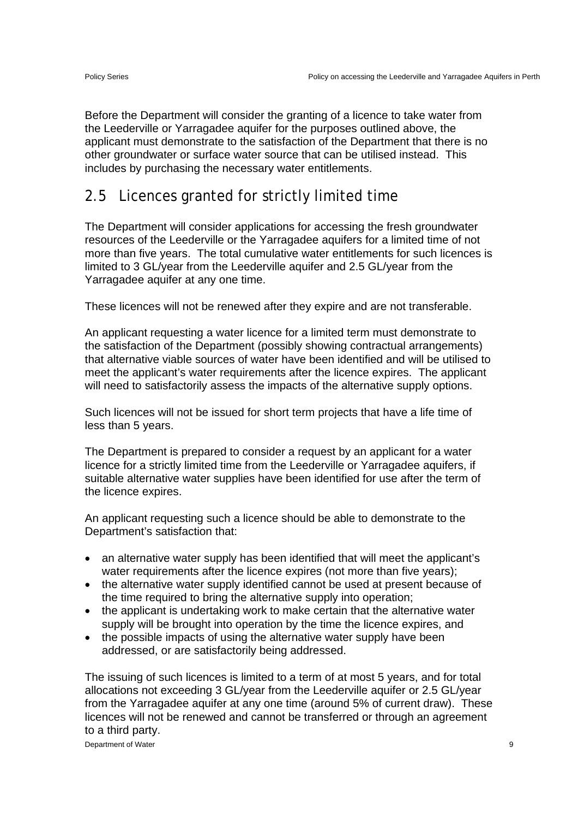Before the Department will consider the granting of a licence to take water from the Leederville or Yarragadee aquifer for the purposes outlined above, the applicant must demonstrate to the satisfaction of the Department that there is no other groundwater or surface water source that can be utilised instead. This includes by purchasing the necessary water entitlements.

### 2.5 Licences granted for strictly limited time

The Department will consider applications for accessing the fresh groundwater resources of the Leederville or the Yarragadee aquifers for a limited time of not more than five years. The total cumulative water entitlements for such licences is limited to 3 GL/year from the Leederville aquifer and 2.5 GL/year from the Yarragadee aquifer at any one time.

These licences will not be renewed after they expire and are not transferable.

An applicant requesting a water licence for a limited term must demonstrate to the satisfaction of the Department (possibly showing contractual arrangements) that alternative viable sources of water have been identified and will be utilised to meet the applicant's water requirements after the licence expires. The applicant will need to satisfactorily assess the impacts of the alternative supply options.

Such licences will not be issued for short term projects that have a life time of less than 5 years.

The Department is prepared to consider a request by an applicant for a water licence for a strictly limited time from the Leederville or Yarragadee aquifers, if suitable alternative water supplies have been identified for use after the term of the licence expires.

An applicant requesting such a licence should be able to demonstrate to the Department's satisfaction that:

- an alternative water supply has been identified that will meet the applicant's water requirements after the licence expires (not more than five years);
- the alternative water supply identified cannot be used at present because of the time required to bring the alternative supply into operation;
- the applicant is undertaking work to make certain that the alternative water supply will be brought into operation by the time the licence expires, and
- the possible impacts of using the alternative water supply have been addressed, or are satisfactorily being addressed.

The issuing of such licences is limited to a term of at most 5 years, and for total allocations not exceeding 3 GL/year from the Leederville aquifer or 2.5 GL/year from the Yarragadee aquifer at any one time (around 5% of current draw). These licences will not be renewed and cannot be transferred or through an agreement to a third party.

Department of Water 9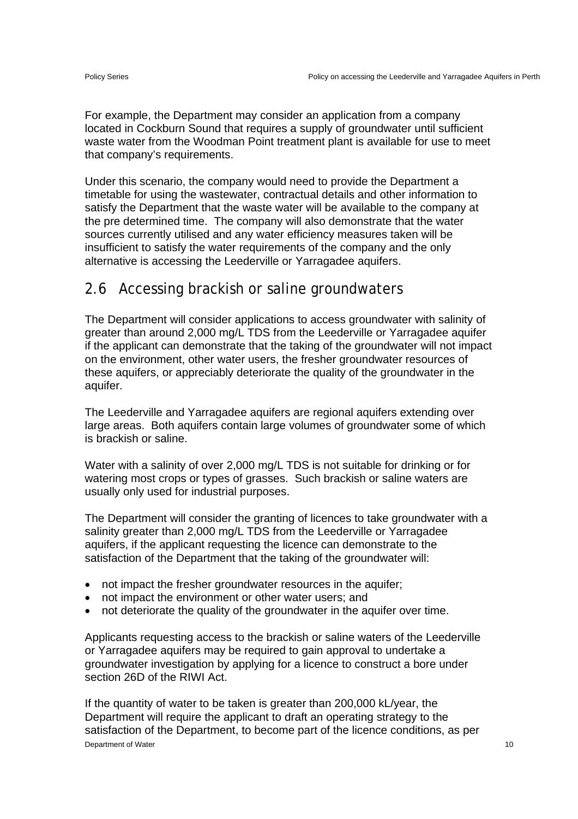For example, the Department may consider an application from a company located in Cockburn Sound that requires a supply of groundwater until sufficient waste water from the Woodman Point treatment plant is available for use to meet that company's requirements.

Under this scenario, the company would need to provide the Department a timetable for using the wastewater, contractual details and other information to satisfy the Department that the waste water will be available to the company at the pre determined time. The company will also demonstrate that the water sources currently utilised and any water efficiency measures taken will be insufficient to satisfy the water requirements of the company and the only alternative is accessing the Leederville or Yarragadee aquifers.

#### 2.6 Accessing brackish or saline groundwaters

The Department will consider applications to access groundwater with salinity of greater than around 2,000 mg/L TDS from the Leederville or Yarragadee aquifer if the applicant can demonstrate that the taking of the groundwater will not impact on the environment, other water users, the fresher groundwater resources of these aquifers, or appreciably deteriorate the quality of the groundwater in the aquifer.

The Leederville and Yarragadee aquifers are regional aquifers extending over large areas. Both aquifers contain large volumes of groundwater some of which is brackish or saline.

Water with a salinity of over 2,000 mg/L TDS is not suitable for drinking or for watering most crops or types of grasses. Such brackish or saline waters are usually only used for industrial purposes.

The Department will consider the granting of licences to take groundwater with a salinity greater than 2,000 mg/L TDS from the Leederville or Yarragadee aquifers, if the applicant requesting the licence can demonstrate to the satisfaction of the Department that the taking of the groundwater will:

- not impact the fresher groundwater resources in the aquifer;
- not impact the environment or other water users; and
- not deteriorate the quality of the groundwater in the aquifer over time.

Applicants requesting access to the brackish or saline waters of the Leederville or Yarragadee aquifers may be required to gain approval to undertake a groundwater investigation by applying for a licence to construct a bore under section 26D of the RIWI Act.

**Department of Water** 10 If the quantity of water to be taken is greater than 200,000 kL/year, the Department will require the applicant to draft an operating strategy to the satisfaction of the Department, to become part of the licence conditions, as per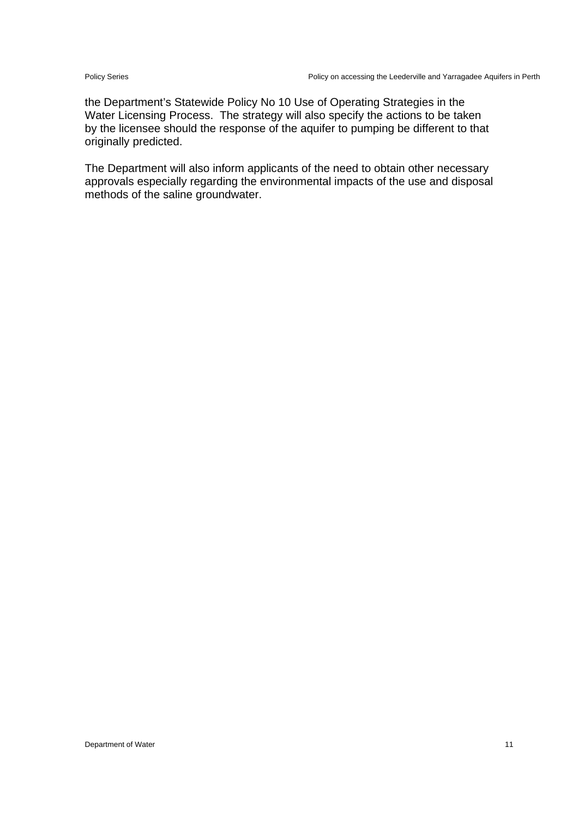the Department's Statewide Policy No 10 Use of Operating Strategies in the Water Licensing Process. The strategy will also specify the actions to be taken by the licensee should the response of the aquifer to pumping be different to that originally predicted.

The Department will also inform applicants of the need to obtain other necessary approvals especially regarding the environmental impacts of the use and disposal methods of the saline groundwater.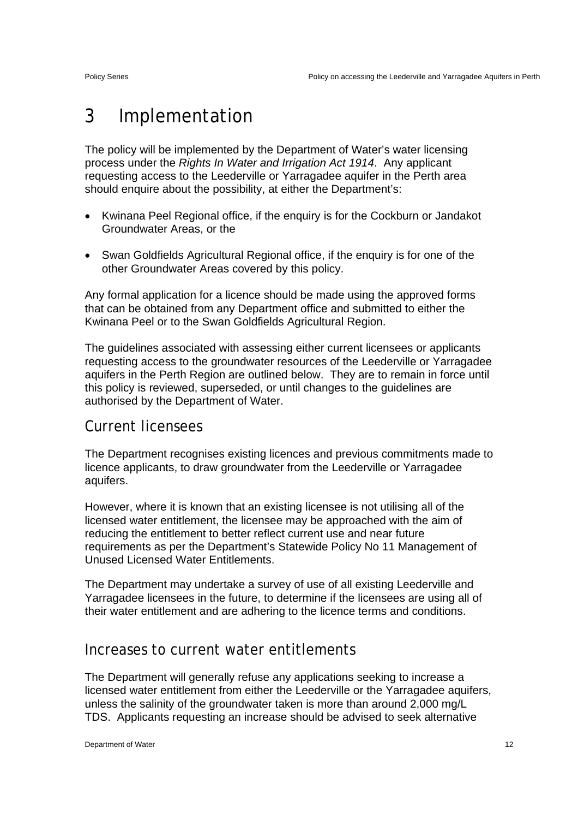# 3 Implementation

The policy will be implemented by the Department of Water's water licensing process under the *Rights In Water and Irrigation Act 1914*. Any applicant requesting access to the Leederville or Yarragadee aquifer in the Perth area should enquire about the possibility, at either the Department's:

- Kwinana Peel Regional office, if the enquiry is for the Cockburn or Jandakot Groundwater Areas, or the
- Swan Goldfields Agricultural Regional office, if the enquiry is for one of the other Groundwater Areas covered by this policy.

Any formal application for a licence should be made using the approved forms that can be obtained from any Department office and submitted to either the Kwinana Peel or to the Swan Goldfields Agricultural Region.

The guidelines associated with assessing either current licensees or applicants requesting access to the groundwater resources of the Leederville or Yarragadee aquifers in the Perth Region are outlined below. They are to remain in force until this policy is reviewed, superseded, or until changes to the guidelines are authorised by the Department of Water.

#### Current licensees

The Department recognises existing licences and previous commitments made to licence applicants, to draw groundwater from the Leederville or Yarragadee aquifers.

However, where it is known that an existing licensee is not utilising all of the licensed water entitlement, the licensee may be approached with the aim of reducing the entitlement to better reflect current use and near future requirements as per the Department's Statewide Policy No 11 Management of Unused Licensed Water Entitlements.

The Department may undertake a survey of use of all existing Leederville and Yarragadee licensees in the future, to determine if the licensees are using all of their water entitlement and are adhering to the licence terms and conditions.

#### Increases to current water entitlements

The Department will generally refuse any applications seeking to increase a licensed water entitlement from either the Leederville or the Yarragadee aquifers, unless the salinity of the groundwater taken is more than around 2,000 mg/L TDS. Applicants requesting an increase should be advised to seek alternative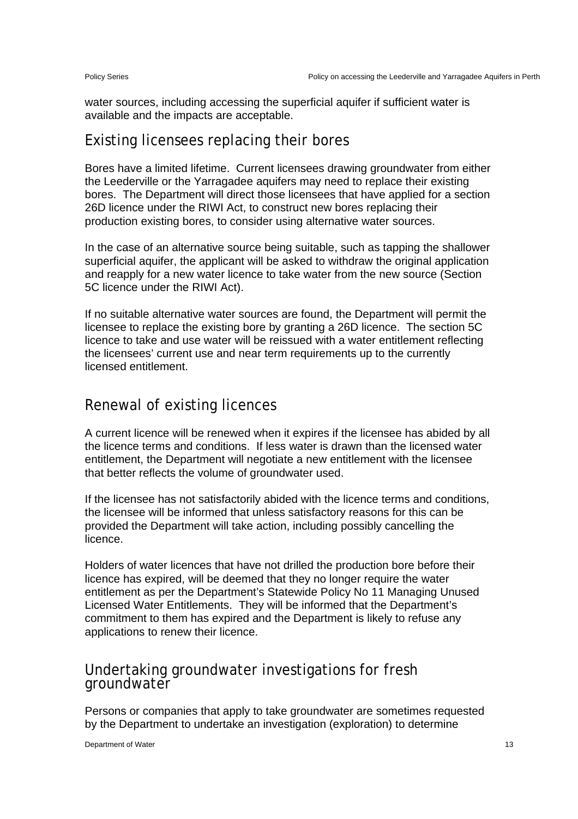water sources, including accessing the superficial aquifer if sufficient water is available and the impacts are acceptable.

#### Existing licensees replacing their bores

Bores have a limited lifetime. Current licensees drawing groundwater from either the Leederville or the Yarragadee aquifers may need to replace their existing bores. The Department will direct those licensees that have applied for a section 26D licence under the RIWI Act, to construct new bores replacing their production existing bores, to consider using alternative water sources.

In the case of an alternative source being suitable, such as tapping the shallower superficial aquifer, the applicant will be asked to withdraw the original application and reapply for a new water licence to take water from the new source (Section 5C licence under the RIWI Act).

If no suitable alternative water sources are found, the Department will permit the licensee to replace the existing bore by granting a 26D licence. The section 5C licence to take and use water will be reissued with a water entitlement reflecting the licensees' current use and near term requirements up to the currently licensed entitlement.

#### Renewal of existing licences

A current licence will be renewed when it expires if the licensee has abided by all the licence terms and conditions. If less water is drawn than the licensed water entitlement, the Department will negotiate a new entitlement with the licensee that better reflects the volume of groundwater used.

If the licensee has not satisfactorily abided with the licence terms and conditions, the licensee will be informed that unless satisfactory reasons for this can be provided the Department will take action, including possibly cancelling the licence.

Holders of water licences that have not drilled the production bore before their licence has expired, will be deemed that they no longer require the water entitlement as per the Department's Statewide Policy No 11 Managing Unused Licensed Water Entitlements. They will be informed that the Department's commitment to them has expired and the Department is likely to refuse any applications to renew their licence.

# Undertaking groundwater investigations for fresh groundwater

Persons or companies that apply to take groundwater are sometimes requested by the Department to undertake an investigation (exploration) to determine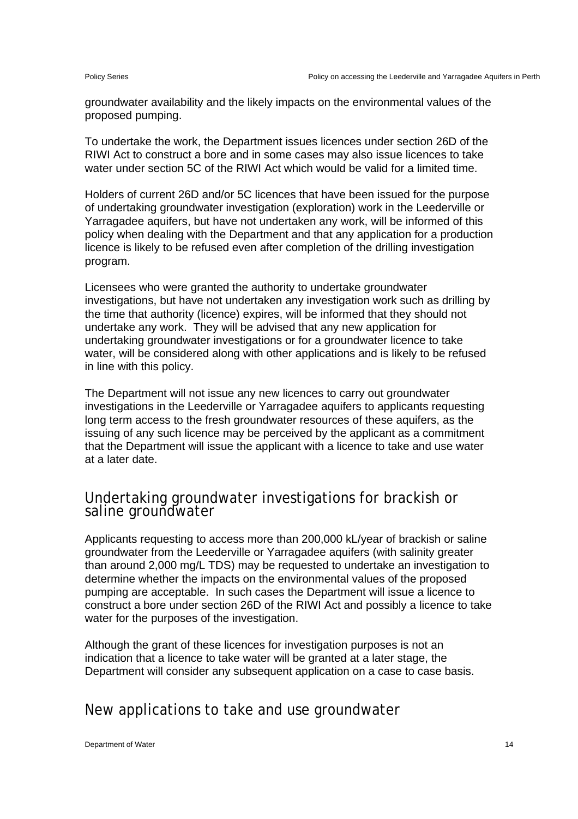groundwater availability and the likely impacts on the environmental values of the proposed pumping.

To undertake the work, the Department issues licences under section 26D of the RIWI Act to construct a bore and in some cases may also issue licences to take water under section 5C of the RIWI Act which would be valid for a limited time.

Holders of current 26D and/or 5C licences that have been issued for the purpose of undertaking groundwater investigation (exploration) work in the Leederville or Yarragadee aquifers, but have not undertaken any work, will be informed of this policy when dealing with the Department and that any application for a production licence is likely to be refused even after completion of the drilling investigation program.

Licensees who were granted the authority to undertake groundwater investigations, but have not undertaken any investigation work such as drilling by the time that authority (licence) expires, will be informed that they should not undertake any work. They will be advised that any new application for undertaking groundwater investigations or for a groundwater licence to take water, will be considered along with other applications and is likely to be refused in line with this policy.

The Department will not issue any new licences to carry out groundwater investigations in the Leederville or Yarragadee aquifers to applicants requesting long term access to the fresh groundwater resources of these aquifers, as the issuing of any such licence may be perceived by the applicant as a commitment that the Department will issue the applicant with a licence to take and use water at a later date.

# Undertaking groundwater investigations for brackish or saline groundwater

Applicants requesting to access more than 200,000 kL/year of brackish or saline groundwater from the Leederville or Yarragadee aquifers (with salinity greater than around 2,000 mg/L TDS) may be requested to undertake an investigation to determine whether the impacts on the environmental values of the proposed pumping are acceptable. In such cases the Department will issue a licence to construct a bore under section 26D of the RIWI Act and possibly a licence to take water for the purposes of the investigation.

Although the grant of these licences for investigation purposes is not an indication that a licence to take water will be granted at a later stage, the Department will consider any subsequent application on a case to case basis.

### New applications to take and use groundwater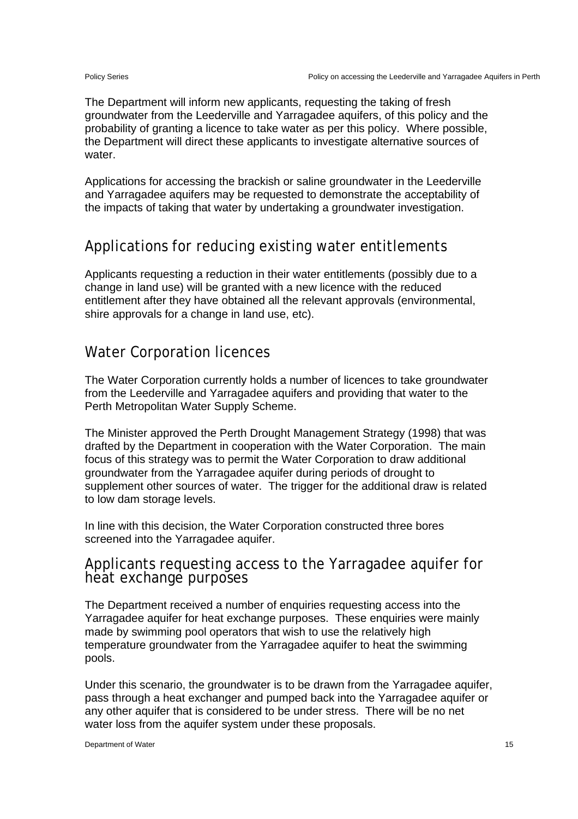The Department will inform new applicants, requesting the taking of fresh groundwater from the Leederville and Yarragadee aquifers, of this policy and the probability of granting a licence to take water as per this policy. Where possible, the Department will direct these applicants to investigate alternative sources of water.

Applications for accessing the brackish or saline groundwater in the Leederville and Yarragadee aquifers may be requested to demonstrate the acceptability of the impacts of taking that water by undertaking a groundwater investigation.

#### Applications for reducing existing water entitlements

Applicants requesting a reduction in their water entitlements (possibly due to a change in land use) will be granted with a new licence with the reduced entitlement after they have obtained all the relevant approvals (environmental, shire approvals for a change in land use, etc).

#### Water Corporation licences

The Water Corporation currently holds a number of licences to take groundwater from the Leederville and Yarragadee aquifers and providing that water to the Perth Metropolitan Water Supply Scheme.

The Minister approved the Perth Drought Management Strategy (1998) that was drafted by the Department in cooperation with the Water Corporation. The main focus of this strategy was to permit the Water Corporation to draw additional groundwater from the Yarragadee aquifer during periods of drought to supplement other sources of water. The trigger for the additional draw is related to low dam storage levels.

In line with this decision, the Water Corporation constructed three bores screened into the Yarragadee aquifer.

# Applicants requesting access to the Yarragadee aquifer for heat exchange purposes

The Department received a number of enquiries requesting access into the Yarragadee aquifer for heat exchange purposes. These enquiries were mainly made by swimming pool operators that wish to use the relatively high temperature groundwater from the Yarragadee aquifer to heat the swimming pools.

Under this scenario, the groundwater is to be drawn from the Yarragadee aquifer, pass through a heat exchanger and pumped back into the Yarragadee aquifer or any other aquifer that is considered to be under stress. There will be no net water loss from the aquifer system under these proposals.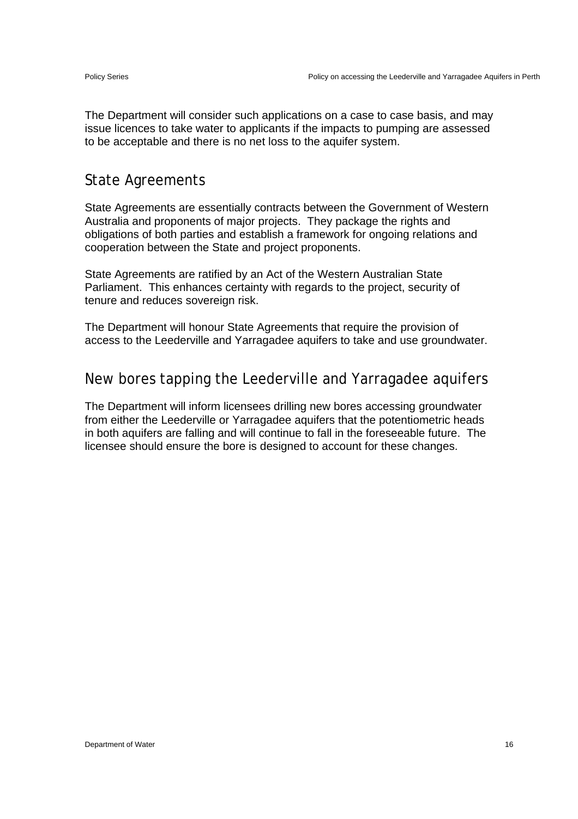The Department will consider such applications on a case to case basis, and may issue licences to take water to applicants if the impacts to pumping are assessed to be acceptable and there is no net loss to the aquifer system.

#### State Agreements

State Agreements are essentially contracts between the Government of Western Australia and proponents of major projects. They package the rights and obligations of both parties and establish a framework for ongoing relations and cooperation between the State and project proponents.

State Agreements are ratified by an Act of the Western Australian State Parliament. This enhances certainty with regards to the project, security of tenure and reduces sovereign risk.

The Department will honour State Agreements that require the provision of access to the Leederville and Yarragadee aquifers to take and use groundwater.

#### New bores tapping the Leederville and Yarragadee aquifers

The Department will inform licensees drilling new bores accessing groundwater from either the Leederville or Yarragadee aquifers that the potentiometric heads in both aquifers are falling and will continue to fall in the foreseeable future. The licensee should ensure the bore is designed to account for these changes.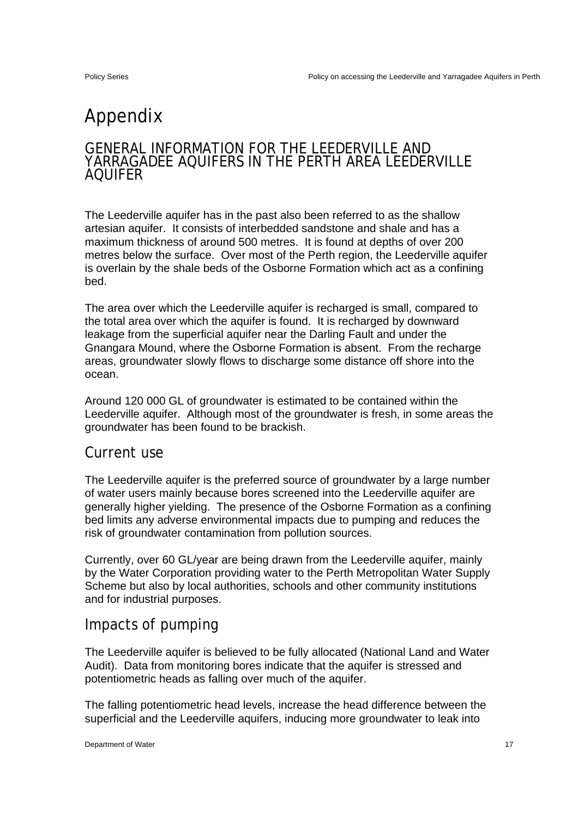# Appendix

#### GENERAL INFORMATION FOR THE LEEDERVILLE AND YARRAGADEE AQUIFERS IN THE PERTH AREA LEEDERVILLE AQUIFER

The Leederville aquifer has in the past also been referred to as the shallow artesian aquifer. It consists of interbedded sandstone and shale and has a maximum thickness of around 500 metres. It is found at depths of over 200 metres below the surface. Over most of the Perth region, the Leederville aquifer is overlain by the shale beds of the Osborne Formation which act as a confining bed.

The area over which the Leederville aquifer is recharged is small, compared to the total area over which the aquifer is found. It is recharged by downward leakage from the superficial aquifer near the Darling Fault and under the Gnangara Mound, where the Osborne Formation is absent. From the recharge areas, groundwater slowly flows to discharge some distance off shore into the ocean.

Around 120 000 GL of groundwater is estimated to be contained within the Leederville aquifer. Although most of the groundwater is fresh, in some areas the groundwater has been found to be brackish.

#### Current use

The Leederville aquifer is the preferred source of groundwater by a large number of water users mainly because bores screened into the Leederville aquifer are generally higher yielding. The presence of the Osborne Formation as a confining bed limits any adverse environmental impacts due to pumping and reduces the risk of groundwater contamination from pollution sources.

Currently, over 60 GL/year are being drawn from the Leederville aquifer, mainly by the Water Corporation providing water to the Perth Metropolitan Water Supply Scheme but also by local authorities, schools and other community institutions and for industrial purposes.

#### Impacts of pumping

The Leederville aquifer is believed to be fully allocated (National Land and Water Audit). Data from monitoring bores indicate that the aquifer is stressed and potentiometric heads as falling over much of the aquifer.

The falling potentiometric head levels, increase the head difference between the superficial and the Leederville aquifers, inducing more groundwater to leak into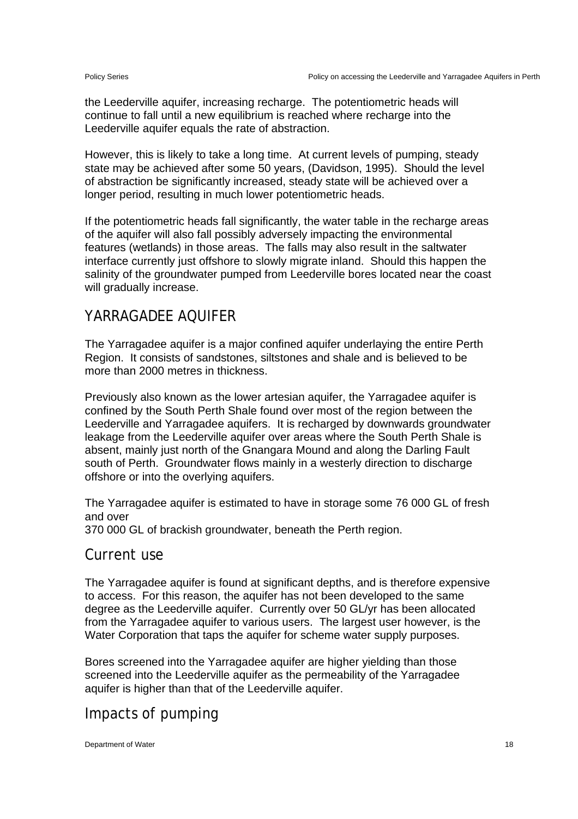the Leederville aquifer, increasing recharge. The potentiometric heads will continue to fall until a new equilibrium is reached where recharge into the Leederville aquifer equals the rate of abstraction.

However, this is likely to take a long time. At current levels of pumping, steady state may be achieved after some 50 years, (Davidson, 1995). Should the level of abstraction be significantly increased, steady state will be achieved over a longer period, resulting in much lower potentiometric heads.

If the potentiometric heads fall significantly, the water table in the recharge areas of the aquifer will also fall possibly adversely impacting the environmental features (wetlands) in those areas. The falls may also result in the saltwater interface currently just offshore to slowly migrate inland. Should this happen the salinity of the groundwater pumped from Leederville bores located near the coast will gradually increase.

### YARRAGADEE AQUIFER

The Yarragadee aquifer is a major confined aquifer underlaying the entire Perth Region. It consists of sandstones, siltstones and shale and is believed to be more than 2000 metres in thickness.

Previously also known as the lower artesian aquifer, the Yarragadee aquifer is confined by the South Perth Shale found over most of the region between the Leederville and Yarragadee aquifers. It is recharged by downwards groundwater leakage from the Leederville aquifer over areas where the South Perth Shale is absent, mainly just north of the Gnangara Mound and along the Darling Fault south of Perth. Groundwater flows mainly in a westerly direction to discharge offshore or into the overlying aquifers.

The Yarragadee aquifer is estimated to have in storage some 76 000 GL of fresh and over

370 000 GL of brackish groundwater, beneath the Perth region.

#### Current use

The Yarragadee aquifer is found at significant depths, and is therefore expensive to access. For this reason, the aquifer has not been developed to the same degree as the Leederville aquifer. Currently over 50 GL/yr has been allocated from the Yarragadee aquifer to various users. The largest user however, is the Water Corporation that taps the aquifer for scheme water supply purposes.

Bores screened into the Yarragadee aquifer are higher yielding than those screened into the Leederville aquifer as the permeability of the Yarragadee aquifer is higher than that of the Leederville aquifer.

### Impacts of pumping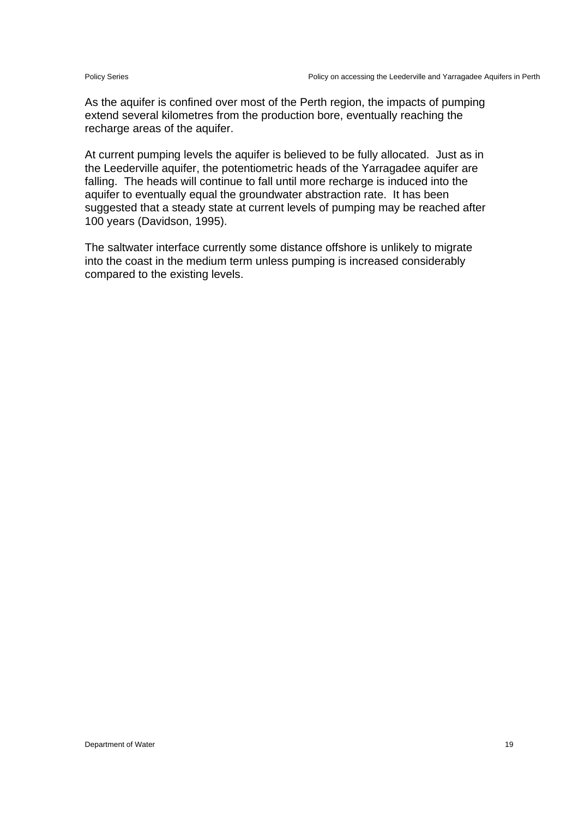As the aquifer is confined over most of the Perth region, the impacts of pumping extend several kilometres from the production bore, eventually reaching the recharge areas of the aquifer.

At current pumping levels the aquifer is believed to be fully allocated. Just as in the Leederville aquifer, the potentiometric heads of the Yarragadee aquifer are falling. The heads will continue to fall until more recharge is induced into the aquifer to eventually equal the groundwater abstraction rate. It has been suggested that a steady state at current levels of pumping may be reached after 100 years (Davidson, 1995).

The saltwater interface currently some distance offshore is unlikely to migrate into the coast in the medium term unless pumping is increased considerably compared to the existing levels.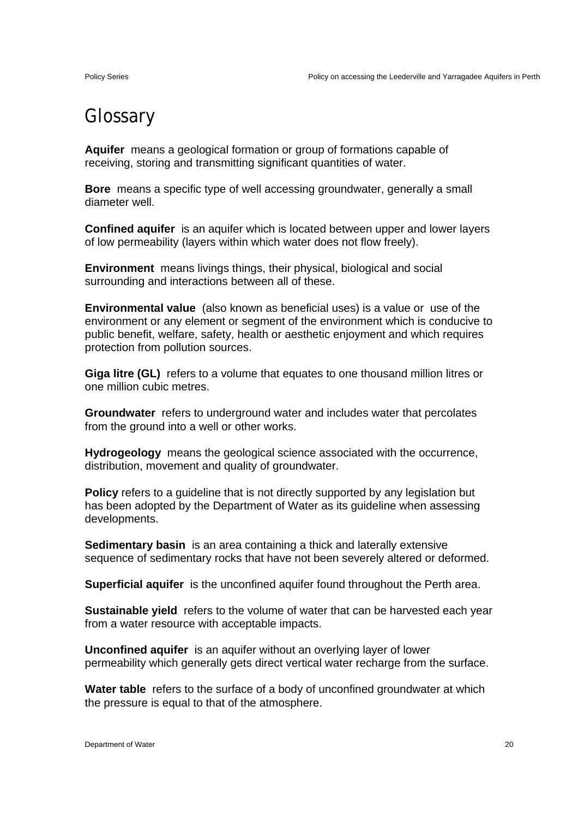# Glossary

**Aquifer** means a geological formation or group of formations capable of receiving, storing and transmitting significant quantities of water.

**Bore** means a specific type of well accessing groundwater, generally a small diameter well.

**Confined aquifer** is an aquifer which is located between upper and lower layers of low permeability (layers within which water does not flow freely).

**Environment** means livings things, their physical, biological and social surrounding and interactions between all of these.

**Environmental value** (also known as beneficial uses) is a value or use of the environment or any element or segment of the environment which is conducive to public benefit, welfare, safety, health or aesthetic enjoyment and which requires protection from pollution sources.

**Giga litre (GL)** refers to a volume that equates to one thousand million litres or one million cubic metres.

**Groundwater** refers to underground water and includes water that percolates from the ground into a well or other works.

**Hydrogeology** means the geological science associated with the occurrence, distribution, movement and quality of groundwater.

**Policy** refers to a guideline that is not directly supported by any legislation but has been adopted by the Department of Water as its guideline when assessing developments.

**Sedimentary basin** is an area containing a thick and laterally extensive sequence of sedimentary rocks that have not been severely altered or deformed.

**Superficial aquifer** is the unconfined aquifer found throughout the Perth area.

**Sustainable yield** refers to the volume of water that can be harvested each year from a water resource with acceptable impacts.

**Unconfined aquifer** is an aquifer without an overlying layer of lower permeability which generally gets direct vertical water recharge from the surface.

**Water table** refers to the surface of a body of unconfined groundwater at which the pressure is equal to that of the atmosphere.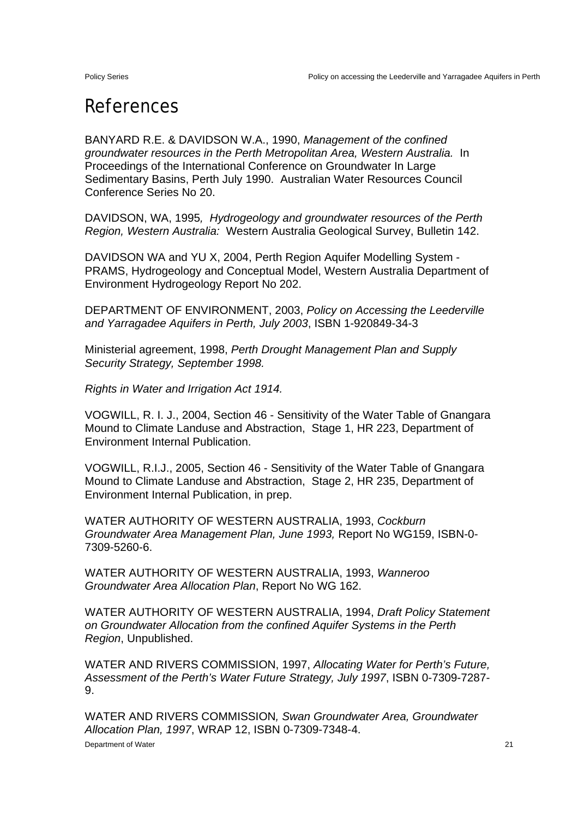# References

BANYARD R.E. & DAVIDSON W.A., 1990, *Management of the confined groundwater resources in the Perth Metropolitan Area, Western Australia.* In Proceedings of the International Conference on Groundwater In Large Sedimentary Basins, Perth July 1990. Australian Water Resources Council Conference Series No 20.

DAVIDSON, WA, 1995*, Hydrogeology and groundwater resources of the Perth Region, Western Australia:* Western Australia Geological Survey, Bulletin 142.

DAVIDSON WA and YU X, 2004, Perth Region Aquifer Modelling System - PRAMS, Hydrogeology and Conceptual Model, Western Australia Department of Environment Hydrogeology Report No 202.

DEPARTMENT OF ENVIRONMENT, 2003, *Policy on Accessing the Leederville and Yarragadee Aquifers in Perth, July 2003*, ISBN 1-920849-34-3

Ministerial agreement, 1998, *Perth Drought Management Plan and Supply Security Strategy, September 1998.* 

*Rights in Water and Irrigation Act 1914.* 

VOGWILL, R. I. J., 2004, Section 46 - Sensitivity of the Water Table of Gnangara Mound to Climate Landuse and Abstraction, Stage 1, HR 223, Department of Environment Internal Publication.

VOGWILL, R.I.J., 2005, Section 46 - Sensitivity of the Water Table of Gnangara Mound to Climate Landuse and Abstraction, Stage 2, HR 235, Department of Environment Internal Publication, in prep.

WATER AUTHORITY OF WESTERN AUSTRALIA, 1993, *Cockburn Groundwater Area Management Plan, June 1993,* Report No WG159, ISBN-0- 7309-5260-6.

WATER AUTHORITY OF WESTERN AUSTRALIA, 1993, *Wanneroo Groundwater Area Allocation Plan*, Report No WG 162.

WATER AUTHORITY OF WESTERN AUSTRALIA, 1994, *Draft Policy Statement on Groundwater Allocation from the confined Aquifer Systems in the Perth Region*, Unpublished.

WATER AND RIVERS COMMISSION, 1997, *Allocating Water for Perth's Future, Assessment of the Perth's Water Future Strategy, July 1997*, ISBN 0-7309-7287- 9.

WATER AND RIVERS COMMISSION*, Swan Groundwater Area, Groundwater Allocation Plan, 1997*, WRAP 12, ISBN 0-7309-7348-4.

**Department of Water** 21